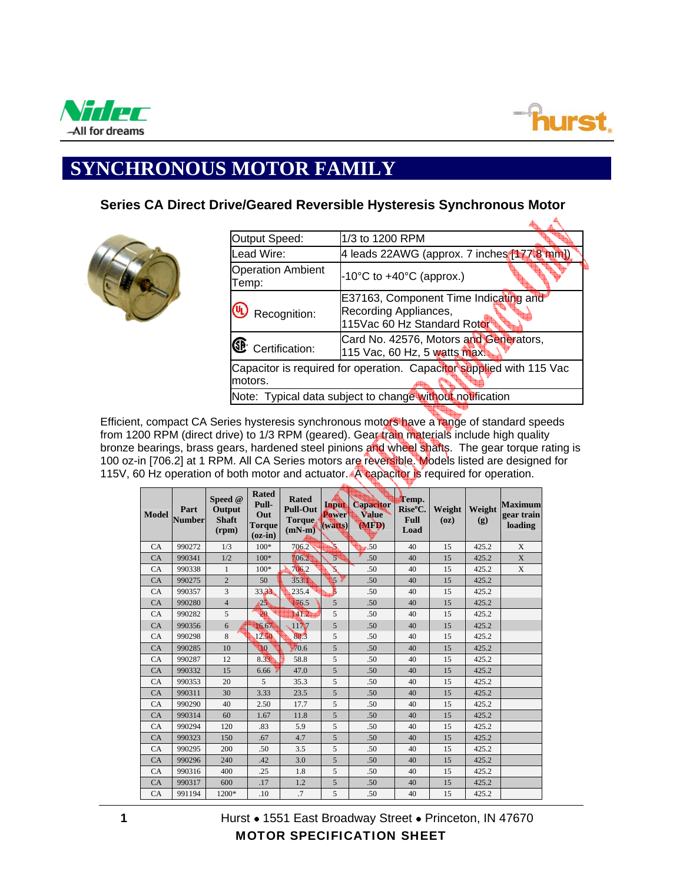



## **SYNCHRONOUS MOTOR FAMILY**

## **Series CA Direct Drive/Geared Reversible Hysteresis Synchronous Motor**



| Output Speed:                     | 1/3 to 1200 RPM                                                                               |
|-----------------------------------|-----------------------------------------------------------------------------------------------|
| Lead Wire:                        | 4 leads 22AWG (approx. 7 inches <sup>red</sup> 27 <sup>8</sup> mm)                            |
| <b>Operation Ambient</b><br>Temp: | -10 $\degree$ C to +40 $\degree$ C (approx.)                                                  |
| $\mathfrak{a}$<br>Recognition:    | E37163, Component Time Indicating and<br>Recording Appliances,<br>115Vac 60 Hz Standard Rotor |
| <b><i>E</i></b> Certification:    | Card No. 42576, Motors and Generators,<br>115 Vac, 60 Hz, 5 watts max.                        |
| motors.                           | Capacitor is required for operation. Capacitor supplied with 115 Vac                          |
|                                   | Note: Typical data subject to change without notification                                     |

والبال Efficient, compact CA Series hysteresis synchronous motors have a range of standard speeds from 1200 RPM (direct drive) to 1/3 RPM (geared). Gear train materials include high quality bronze bearings, brass gears, hardened steel pinions and wheel shafts. The gear torque rating is 100 oz-in [706.2] at 1 RPM. All CA Series motors are reversible. Models listed are designed for 115V, 60 Hz operation of both motor and actuator. A capacitor is required for operation.

| <b>Model</b> | Part<br><b>Number</b> | Speed @<br>Output<br><b>Shaft</b><br>(rpm) | <b>Rated</b><br>Pull-<br>Out<br>Torque<br>$(oz-in)$ | <b>Rated</b><br><b>Pull-Out</b><br><b>Torque</b><br>$(mN-m)$ | Laptu<br>Power<br>(watts) | <b>Capacitor</b><br>Value<br><b>MFD</b> | Temp.<br>Rise <sup>o</sup> C.<br><b>Full</b><br>Load | Weight<br>(oz) | Weight<br>(g) | <b>Maximum</b><br>gear train<br>loading |
|--------------|-----------------------|--------------------------------------------|-----------------------------------------------------|--------------------------------------------------------------|---------------------------|-----------------------------------------|------------------------------------------------------|----------------|---------------|-----------------------------------------|
| CA           | 990272                | 1/3                                        | $100*$                                              | 706.2                                                        | $\mathbf{v}$              | .50                                     | 40                                                   | 15             | 425.2         | X                                       |
| CA           | 990341                | 1/2                                        | $100*$                                              | 206.2                                                        | $\overline{5}$            | .50                                     | 40                                                   | 15             | 425.2         | X                                       |
| CA           | 990338                | $\mathbf{1}$                               | $100*$                                              | 706.2                                                        | ヽ                         | .50                                     | 40                                                   | 15             | 425.2         | X                                       |
| CA           | 990275                | $\overline{c}$                             | 50                                                  | 3534                                                         | 5                         | .50                                     | 40                                                   | 15             | 425.2         |                                         |
| CA           | 990357                | 3                                          | 3323                                                | 235.4                                                        | J                         | .50                                     | 40                                                   | 15             | 425.2         |                                         |
| CA           | 990280                | $\overline{4}$                             | 23                                                  | 176.5                                                        | 5                         | .50                                     | 40                                                   | 15             | 425.2         |                                         |
| <b>CA</b>    | 990282                | 5                                          | 20                                                  | 1412                                                         | 5                         | .50                                     | 40                                                   | 15             | 425.2         |                                         |
| CA           | 990356                | 6                                          | 16.67                                               | $11\frac{1}{2}$                                              | 5                         | .50                                     | 40                                                   | 15             | 425.2         |                                         |
| <b>CA</b>    | 990298                | $\,8\,$                                    | 12.50                                               | 883                                                          | 5                         | .50                                     | 40                                                   | 15             | 425.2         |                                         |
| CA           | 990285                | 10                                         | J0                                                  | 70.6                                                         | 5                         | .50                                     | 40                                                   | 15             | 425.2         |                                         |
| CA           | 990287                | 12                                         | 8.33                                                | 58.8                                                         | 5                         | .50                                     | 40                                                   | 15             | 425.2         |                                         |
| CA           | 990332                | 15                                         | 6.66                                                | 47.0                                                         | 5                         | .50                                     | 40                                                   | 15             | 425.2         |                                         |
| CA           | 990353                | 20                                         | 5                                                   | 35.3                                                         | 5                         | .50                                     | 40                                                   | 15             | 425.2         |                                         |
| CA           | 990311                | 30                                         | 3.33                                                | 23.5                                                         | 5                         | .50                                     | 40                                                   | 15             | 425.2         |                                         |
| <b>CA</b>    | 990290                | 40                                         | 2.50                                                | 17.7                                                         | 5                         | .50                                     | 40                                                   | 15             | 425.2         |                                         |
| CA           | 990314                | 60                                         | 1.67                                                | 11.8                                                         | 5                         | .50                                     | 40                                                   | 15             | 425.2         |                                         |
| <b>CA</b>    | 990294                | 120                                        | .83                                                 | 5.9                                                          | 5                         | .50                                     | 40                                                   | 15             | 425.2         |                                         |
| CA           | 990323                | 150                                        | .67                                                 | 4.7                                                          | 5                         | .50                                     | 40                                                   | 15             | 425.2         |                                         |
| CA           | 990295                | 200                                        | .50                                                 | 3.5                                                          | 5                         | .50                                     | 40                                                   | 15             | 425.2         |                                         |
| <b>CA</b>    | 990296                | 240                                        | .42                                                 | 3.0                                                          | 5                         | .50                                     | 40                                                   | 15             | 425.2         |                                         |
| CA           | 990316                | 400                                        | .25                                                 | 1.8                                                          | 5                         | .50                                     | 40                                                   | 15             | 425.2         |                                         |
| CA           | 990317                | 600                                        | .17                                                 | 1.2                                                          | 5                         | .50                                     | 40                                                   | 15             | 425.2         |                                         |
| <b>CA</b>    | 991194                | 1200*                                      | .10                                                 | .7                                                           | 5                         | .50                                     | 40                                                   | 15             | 425.2         |                                         |

1 **Hurst • 1551 East Broadway Street • Princeton, IN 47670** MOTOR SPECIFICATION SHEET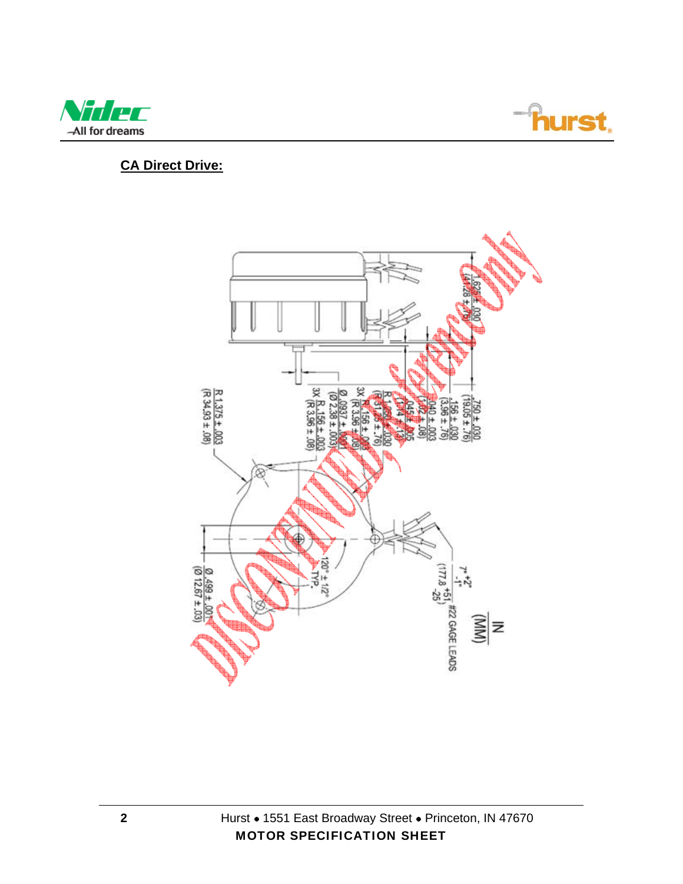



## **CA Direct Drive:**

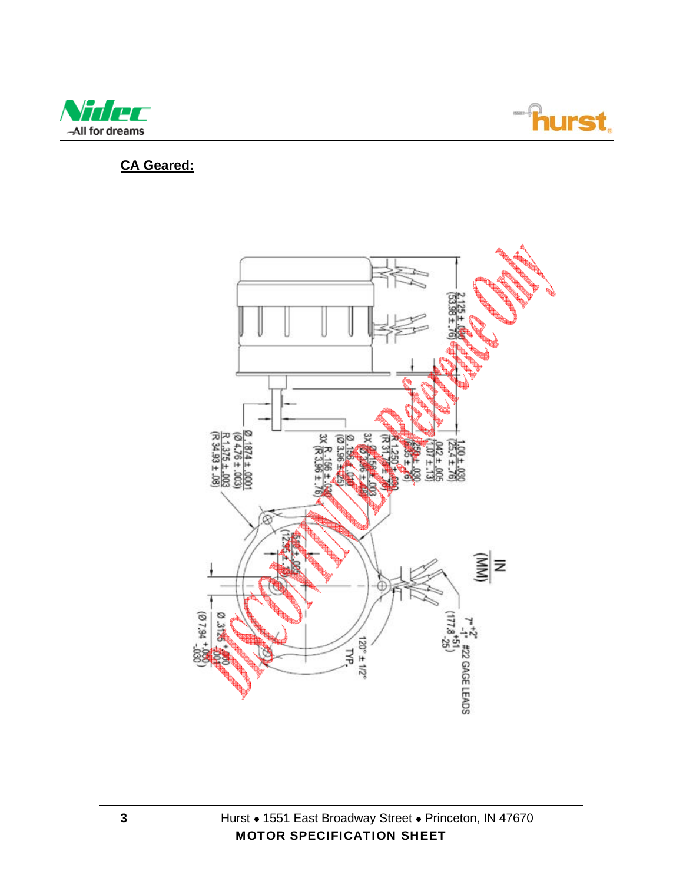



## **CA Geared:**